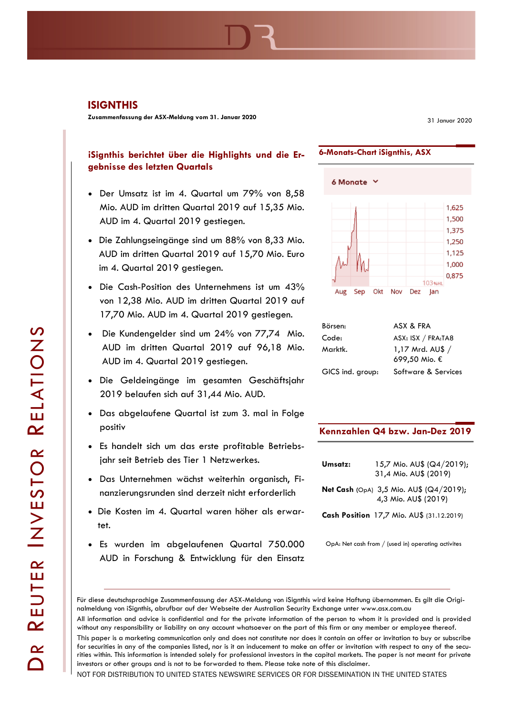**Zusammenfassung der ASX-Meldung vom 31. Januar 2020**

31 Januar 2020

# **iSignthis berichtet über die Highlights und die Ergebnisse des letzten Quartals**

- Der Umsatz ist im 4. Quartal um 79% von 8,58 Mio. AUD im dritten Quartal 2019 auf 15,35 Mio. AUD im 4. Quartal 2019 gestiegen.
- Die Zahlungseingänge sind um 88% von 8,33 Mio. AUD im dritten Quartal 2019 auf 15,70 Mio. Euro im 4. Quartal 2019 gestiegen.
- Die Cash-Position des Unternehmens ist um 43% von 12,38 Mio. AUD im dritten Quartal 2019 auf 17,70 Mio. AUD im 4. Quartal 2019 gestiegen.
- Die Kundengelder sind um 24% von 77,74 Mio. AUD im dritten Quartal 2019 auf 96,18 Mio. AUD im 4. Quartal 2019 gestiegen.
- Die Geldeingänge im gesamten Geschäftsjahr 2019 belaufen sich auf 31,44 Mio. AUD.
- Das abgelaufene Quartal ist zum 3. mal in Folge positiv
- Es handelt sich um das erste profitable Betriebsjahr seit Betrieb des Tier 1 Netzwerkes.
- Das Unternehmen wächst weiterhin organisch, Finanzierungsrunden sind derzeit nicht erforderlich
- Die Kosten im 4. Quartal waren höher als erwartet.
- Es wurden im abgelaufenen Quartal 750.000 AUD in Forschung & Entwicklung für den Einsatz



**6-Monats-Chart iSignthis, ASX**

| Börsen:          | ASX & FRA                          |
|------------------|------------------------------------|
| Code:            | ASX: ISX / FRA:TA8                 |
| Marktk.          | 1,17 Mrd. $AUS /$<br>699,50 Mio. € |
| GICS ind. group: | Software & Services                |

## **Kennzahlen Q4 bzw. Jan-Dez 2019**

| Umsatz: | 15,7 Mio. AU\$ (Q4/2019);<br>31,4 Mio. AU\$ (2019)              |
|---------|-----------------------------------------------------------------|
|         | Net Cash (OpA) 3,5 Mio. AU\$ (Q4/2019);<br>4,3 Mio. AU\$ (2019) |
|         | Cash Position 17,7 Mio. AU\$ (31.12.2019)                       |

OpA: Net cash from / (used in) operating activites

This paper is a marketing communication only and does not constitute nor does it contain an offer or invitation to buy or subscribe for securities in any of the companies listed, nor is it an inducement to make an offer or invitation with respect to any of the securities within. This information is intended solely for professional investors in the capital markets. The paper is not meant for private investors or other groups and is not to be forwarded to them. Please take note of this disclaimer.

NOT FOR DISTRIBUTION TO UNITED STATES NEWSWIRE SERVICES OR FOR DISSEMINATION IN THE UNITED STATES

Für diese deutschsprachige Zusammenfassung der ASX-Meldung von iSignthis wird keine Haftung übernommen. Es gilt die Originalmeldung von iSignthis, abrufbar auf der Webseite der Australian Security Exchange unter www.asx.com.au

All information and advice is confidential and for the private information of the person to whom it is provided and is provided without any responsibility or liability on any account whatsoever on the part of this firm or any member or employee thereof.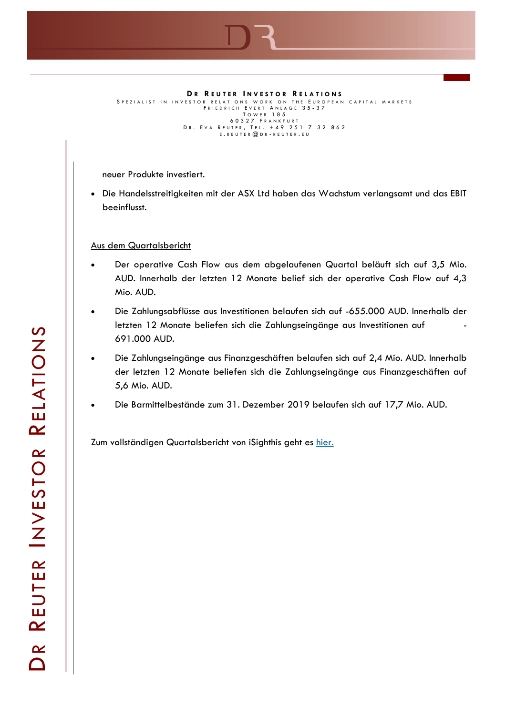

**D R R E U T E R I N V E S T O R R E L A T I O N S** S P E Z I A LIST IN INVESTOR RELATIONS WORK ON THE EUROPEAN CAPITAL MARKETS FRIEDRICH EVERT ANLAGE 35-37<br>TOWER 185 60327 FRANKFURT<br>Dr. Eva Reuter, Tel. +49 251 7 32 862<br>E.REUTER@DR-REUTER.EU

neuer Produkte investiert.

SNAPSHOT

• Die Handelsstreitigkeiten mit der ASX Ltd haben das Wachstum verlangsamt und das EBIT beeinflusst.

## Aus dem Quartalsbericht

- Der operative Cash Flow aus dem abgelaufenen Quartal beläuft sich auf 3,5 Mio. AUD. Innerhalb der letzten 12 Monate belief sich der operative Cash Flow auf 4,3 Mio. AUD.
- Die Zahlungsabflüsse aus Investitionen belaufen sich auf -655.000 AUD. Innerhalb der letzten 12 Monate beliefen sich die Zahlungseingänge aus Investitionen auf 691.000 AUD.
- Die Zahlungseingänge aus Finanzgeschäften belaufen sich auf 2,4 Mio. AUD. Innerhalb der letzten 12 Monate beliefen sich die Zahlungseingänge aus Finanzgeschäften auf 5,6 Mio. AUD.
- Die Barmittelbestände zum 31. Dezember 2019 belaufen sich auf 17,7 Mio. AUD.

Zum vollständigen Quartalsbericht von iSighthis geht es [hier.](https://www.asx.com.au/asxpdf/20200131/pdf/44dpq29bxtrsd0.pdf)